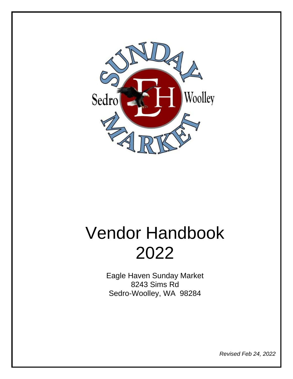

# Vendor Handbook 2022

Eagle Haven Sunday Market 8243 Sims Rd Sedro-Woolley, WA 98284

*Revised Feb 24, 2022*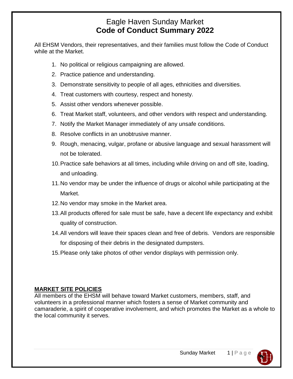## Eagle Haven Sunday Market **Code of Conduct Summary 2022**

All EHSM Vendors, their representatives, and their families must follow the Code of Conduct while at the Market.

- 1. No political or religious campaigning are allowed.
- 2. Practice patience and understanding.
- 3. Demonstrate sensitivity to people of all ages, ethnicities and diversities.
- 4. Treat customers with courtesy, respect and honesty.
- 5. Assist other vendors whenever possible.
- 6. Treat Market staff, volunteers, and other vendors with respect and understanding.
- 7. Notify the Market Manager immediately of any unsafe conditions.
- 8. Resolve conflicts in an unobtrusive manner.
- 9. Rough, menacing, vulgar, profane or abusive language and sexual harassment will not be tolerated.
- 10.Practice safe behaviors at all times, including while driving on and off site, loading, and unloading.
- 11.No vendor may be under the influence of drugs or alcohol while participating at the Market.
- 12.No vendor may smoke in the Market area.
- 13.All products offered for sale must be safe, have a decent life expectancy and exhibit quality of construction.
- 14.All vendors will leave their spaces clean and free of debris. Vendors are responsible for disposing of their debris in the designated dumpsters.
- 15.Please only take photos of other vendor displays with permission only.

#### **MARKET SITE POLICIES**

All members of the EHSM will behave toward Market customers, members, staff, and volunteers in a professional manner which fosters a sense of Market community and camaraderie, a spirit of cooperative involvement, and which promotes the Market as a whole to the local community it serves.

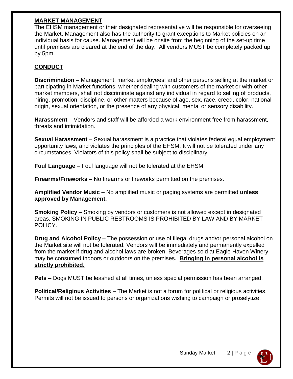#### **MARKET MANAGEMENT**

The EHSM management or their designated representative will be responsible for overseeing the Market. Management also has the authority to grant exceptions to Market policies on an individual basis for cause. Management will be onsite from the beginning of the set-up time until premises are cleared at the end of the day. All vendors MUST be completely packed up by 5pm.

### **CONDUCT**

**Discrimination** – Management, market employees, and other persons selling at the market or participating in Market functions, whether dealing with customers of the market or with other market members, shall not discriminate against any individual in regard to selling of products, hiring, promotion, discipline, or other matters because of age, sex, race, creed, color, national origin, sexual orientation, or the presence of any physical, mental or sensory disability.

**Harassment** – Vendors and staff will be afforded a work environment free from harassment, threats and intimidation.

**Sexual Harassment** – Sexual harassment is a practice that violates federal equal employment opportunity laws, and violates the principles of the EHSM. It will not be tolerated under any circumstances. Violators of this policy shall be subject to disciplinary.

**Foul Language** – Foul language will not be tolerated at the EHSM.

**Firearms/Fireworks** – No firearms or fireworks permitted on the premises.

**Amplified Vendor Music** – No amplified music or paging systems are permitted **unless approved by Management.**

**Smoking Policy** – Smoking by vendors or customers is not allowed except in designated areas. SMOKING IN PUBLIC RESTROOMS IS PROHIBITED BY LAW AND BY MARKET POLICY.

**Drug and Alcohol Policy** – The possession or use of illegal drugs and/or personal alcohol on the Market site will not be tolerated. Vendors will be immediately and permanently expelled from the market if drug and alcohol laws are broken. Beverages sold at Eagle Haven Winery may be consumed indoors or outdoors on the premises. **Bringing in personal alcohol is strictly prohibited.**

**Pets** – Dogs MUST be leashed at all times, unless special permission has been arranged.

**Political/Religious Activities** – The Market is not a forum for political or religious activities. Permits will not be issued to persons or organizations wishing to campaign or proselytize.

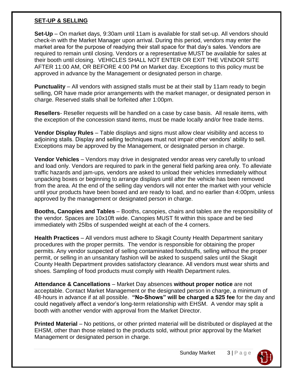#### **SET-UP & SELLING**

**Set-Up** – On market days, 9:30am until 11am is available for stall set-up. All vendors should check-in with the Market Manager upon arrival. During this period, vendors may enter the market area for the purpose of readying their stall space for that day's sales. Vendors are required to remain until closing. Vendors or a representative MUST be available for sales at their booth until closing. VEHICLES SHALL NOT ENTER OR EXIT THE VENDOR SITE AFTER 11:00 AM, OR BEFORE 4:00 PM on Market day. Exceptions to this policy must be approved in advance by the Management or designated person in charge.

**Punctuality** – All vendors with assigned stalls must be at their stall by 11am ready to begin selling, OR have made prior arrangements with the market manager, or designated person in charge. Reserved stalls shall be forfeited after 1:00pm.

**Resellers**- Reseller requests will be handled on a case by case basis. All resale items, with the exception of the concession stand items, must be made locally and/or free trade items.

**Vendor Display Rules** – Table displays and signs must allow clear visibility and access to adjoining stalls. Display and selling techniques must not impair other vendors' ability to sell. Exceptions may be approved by the Management, or designated person in charge.

**Vendor Vehicles** – Vendors may drive in designated vendor areas very carefully to unload and load only. Vendors are required to park in the general field parking area only. To alleviate traffic hazards and jam-ups, vendors are asked to unload their vehicles immediately without unpacking boxes or beginning to arrange displays until after the vehicle has been removed from the area. At the end of the selling day vendors will not enter the market with your vehicle until your products have been boxed and are ready to load, and no earlier than 4:00pm, unless approved by the management or designated person in charge.

**Booths, Canopies and Tables** – Booths, canopies, chairs and tables are the responsibility of the vendor. Spaces are 10x10ft wide. Canopies MUST fit within this space and be tied immediately with 25lbs of suspended weight at each of the 4 corners.

**Health Practices** – All vendors must adhere to Skagit County Health Department sanitary procedures with the proper permits. The vendor is responsible for obtaining the proper permits. Any vendor suspected of selling contaminated foodstuffs, selling without the proper permit, or selling in an unsanitary fashion will be asked to suspend sales until the Skagit County Health Department provides satisfactory clearance. All vendors must wear shirts and shoes. Sampling of food products must comply with Health Department rules.

**Attendance & Cancellations** – Market Day absences **without proper notice** are not acceptable. Contact Market Management or the designated person in charge, a minimum of 48-hours in advance if at all possible. **"No-Shows" will be charged a \$25 fee** for the day and could negatively affect a vendor's long-term relationship with EHSM. A vendor may split a booth with another vendor with approval from the Market Director.

**Printed Material** – No petitions, or other printed material will be distributed or displayed at the EHSM, other than those related to the products sold, without prior approval by the Market Management or designated person in charge.

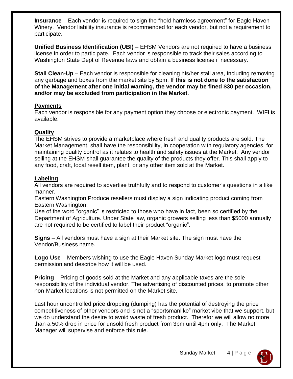**Insurance** – Each vendor is required to sign the "hold harmless agreement" for Eagle Haven Winery. Vendor liability insurance is recommended for each vendor, but not a requirement to participate.

**Unified Business Identification (UBI)** – EHSM Vendors are not required to have a business license in order to participate. Each vendor is responsible to track their sales according to Washington State Dept of Revenue laws and obtain a business license if necessary.

**Stall Clean-Up** – Each vendor is responsible for cleaning his/her stall area, including removing any garbage and boxes from the market site by 5pm. **If this is not done to the satisfaction of the Management after one initial warning, the vendor may be fined \$30 per occasion, and/or may be excluded from participation in the Market.**

#### **Payments**

Each vendor is responsible for any payment option they choose or electronic payment. WIFI is available.

#### **Quality**

The EHSM strives to provide a marketplace where fresh and quality products are sold. The Market Management, shall have the responsibility, in cooperation with regulatory agencies, for maintaining quality control as it relates to health and safety issues at the Market. Any vendor selling at the EHSM shall guarantee the quality of the products they offer. This shall apply to any food, craft, local resell item, plant, or any other item sold at the Market.

#### **Labeling**

All vendors are required to advertise truthfully and to respond to customer's questions in a like manner.

Eastern Washington Produce resellers must display a sign indicating product coming from Eastern Washington.

Use of the word "organic" is restricted to those who have in fact, been so certified by the Department of Agriculture. Under State law, organic growers selling less than \$5000 annually are not required to be certified to label their product "organic".

**Signs** – All vendors must have a sign at their Market site. The sign must have the Vendor/Business name.

**Logo Use** – Members wishing to use the Eagle Haven Sunday Market logo must request permission and describe how it will be used.

**Pricing** – Pricing of goods sold at the Market and any applicable taxes are the sole responsibility of the individual vendor. The advertising of discounted prices, to promote other non-Market locations is not permitted on the Market site.

Last hour uncontrolled price dropping (dumping) has the potential of destroying the price competitiveness of other vendors and is not a "sportsmanlike" market vibe that we support, but we do understand the desire to avoid waste of fresh product. Therefor we will allow no more than a 50% drop in price for unsold fresh product from 3pm until 4pm only. The Market Manager will supervise and enforce this rule.

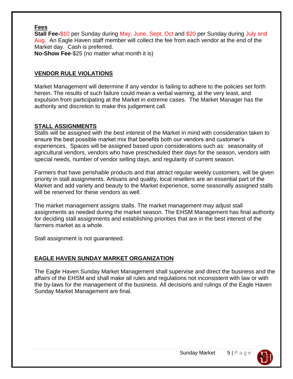#### **Fees**

**Stall Fee-**\$10 per Sunday during May, June, Sept, Oct and \$20 per Sunday during July and Aug.An Eagle Haven staff member will collect the fee from each vendor at the end of the Market day. Cash is preferred.

**No-Show Fee**-\$25 (no matter what month it is)

#### **VENDOR RULE VIOLATIONS**

Market Management will determine if any vendor is failing to adhere to the policies set forth herein. The results of such failure could mean a verbal warning, at the very least, and expulsion from participating at the Market in extreme cases. The Market Manager has the authority and discretion to make this judgement call.

#### **STALL ASSIGNMENTS**

Stalls will be assigned with the best interest of the Market in mind with consideration taken to ensure the best possible market mix that benefits both our vendors and customer's experiences. Spaces will be assigned based upon considerations such as: seasonality of agricultural vendors, vendors who have prescheduled their days for the season, vendors with special needs, number of vendor selling days, and regularity of current season.

Farmers that have perishable products and that attract regular weekly customers, will be given priority in stall assignments. Artisans and quality, local resellers are an essential part of the Market and add variety and beauty to the Market experience, some seasonally assigned stalls will be reserved for these vendors as well.

The market management assigns stalls. The market management may adjust stall assignments as needed during the market season. The EHSM Management has final authority for deciding stall assignments and establishing priorities that are in the best interest of the farmers market as a whole.

Stall assignment is not guaranteed.

#### **EAGLE HAVEN SUNDAY MARKET ORGANIZATION**

The Eagle Haven Sunday Market Management shall supervise and direct the business and the affairs of the EHSM and shall make all rules and regulations not inconsistent with law or with the by-laws for the management of the business. All decisions and rulings of the Eagle Haven Sunday Market Management are final.

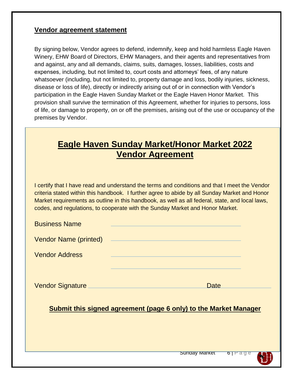#### **Vendor agreement statement**

By signing below, Vendor agrees to defend, indemnify, keep and hold harmless Eagle Haven Winery, EHW Board of Directors, EHW Managers, and their agents and representatives from and against, any and all demands, claims, suits, damages, losses, liabilities, costs and expenses, including, but not limited to, court costs and attorneys' fees, of any nature whatsoever (including, but not limited to, property damage and loss, bodily injuries, sickness, disease or loss of life), directly or indirectly arising out of or in connection with Vendor's participation in the Eagle Haven Sunday Market or the Eagle Haven Honor Market. This provision shall survive the termination of this Agreement, whether for injuries to persons, loss of life, or damage to property, on or off the premises, arising out of the use or occupancy of the premises by Vendor.

# **Eagle Haven Sunday Market/Honor Market 2022 Vendor Agreement**

I certify that I have read and understand the terms and conditions and that I meet the Vendor criteria stated within this handbook. I further agree to abide by all Sunday Market and Honor Market requirements as outline in this handbook, as well as all federal, state, and local laws, codes, and regulations, to cooperate with the Sunday Market and Honor Market.

| <b>Business Name</b>                                             | <u> 1989 - Andrea Stadt Britain, amerikansk politiker (d. 1989)</u>                                                                                                                                                                  |  |
|------------------------------------------------------------------|--------------------------------------------------------------------------------------------------------------------------------------------------------------------------------------------------------------------------------------|--|
|                                                                  | Vendor Name (printed) <b>Name and According to the Contract of According to the Contract of According to According to According the Contract of According to According the Contract of According to According the Contract of Ac</b> |  |
| <b>Vendor Address</b>                                            |                                                                                                                                                                                                                                      |  |
|                                                                  |                                                                                                                                                                                                                                      |  |
|                                                                  | Vendor Signature Manuel Allen Manuel Manuel Allen Manuel Manuel Manuel Manuel Manuel Manuel Manuel Manuel Manu<br>Date <b>Date</b>                                                                                                   |  |
| Submit this signed agreement (page 6 only) to the Market Manager |                                                                                                                                                                                                                                      |  |
|                                                                  |                                                                                                                                                                                                                                      |  |
|                                                                  |                                                                                                                                                                                                                                      |  |
|                                                                  | <b>Sunday Market</b><br>$\mathbf{b}$ $\mathbf{r}$ age                                                                                                                                                                                |  |